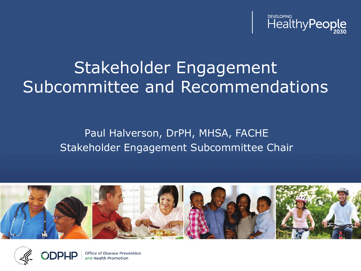

# Stakeholder Engagement Subcommittee and Recommendations

#### Paul Halverson, DrPH, MHSA, FACHE Stakeholder Engagement Subcommittee Chair





Office of Disease Prevention and Health Promotion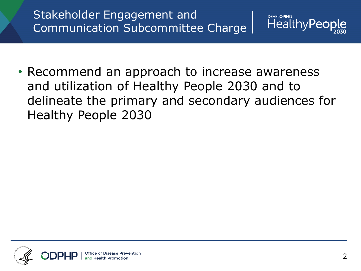## Stakeholder Engagement and Communication Subcommittee Charge



• Recommend an approach to increase awareness and utilization of Healthy People 2030 and to delineate the primary and secondary audiences for Healthy People 2030

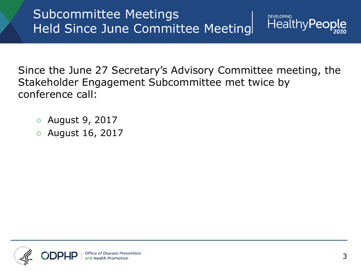

**DEVELOPING** 

Since the June 27 Secretary's Advisory Committee meeting, the Stakeholder Engagement Subcommittee met twice by conference call:

- August 9, 2017
- August 16, 2017

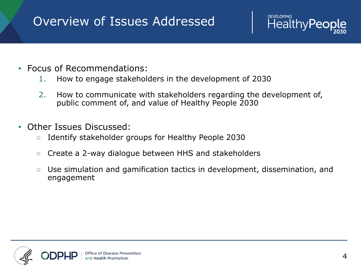# Overview of Issues Addressed

- Focus of Recommendations:
	- 1. How to engage stakeholders in the development of 2030
	- 2. How to communicate with stakeholders regarding the development of, public comment of, and value of Healthy People 2030
- Other Issues Discussed:
	- Identify stakeholder groups for Healthy People 2030
	- Create a 2-way dialogue between HHS and stakeholders
	- Use simulation and gamification tactics in development, dissemination, and engagement



**DEVELOPING** 

**HealthyPed**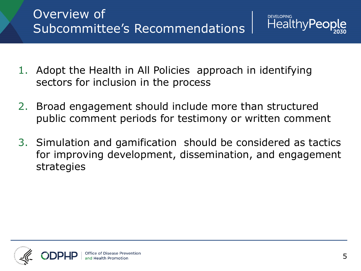

- 1. Adopt the Health in All Policies approach in identifying sectors for inclusion in the process
- 2. Broad engagement should include more than structured public comment periods for testimony or written comment
- 3. Simulation and gamification should be considered as tactics for improving development, dissemination, and engagement strategies

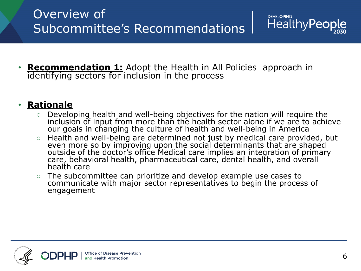- **DEVELOPING** HealthyPeor
- **Recommendation 1:** Adopt the Health in All Policies approach in identifying sectors for inclusion in the process

#### • **Rationale**

- Developing health and well-being objectives for the nation will require the inclusion of input from more than the health sector alone if we are to achieve our goals in changing the culture of health and well-being in America
- Health and well-being are determined not just by medical care provided, but even more so by improving upon the social determinants that are shaped outside of the doctor's office Medical care implies an integration of primary care, behavioral health, pharmaceutical care, dental health, and overall health care
- The subcommittee can prioritize and develop example use cases to communicate with major sector representatives to begin the process of engagement

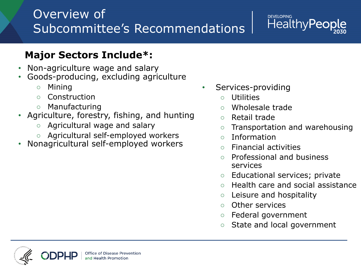# Overview of Subcommittee's Recommendations

#### **DEVELOPING HealthyPec**

#### **Major Sectors Include\*:**

- Non-agriculture wage and salary
- Goods-producing, excluding agriculture
	- Mining
	- Construction
	- Manufacturing
- Agriculture, forestry, fishing, and hunting
	- Agricultural wage and salary
	- Agricultural self-employed workers
- Nonagricultural self-employed workers
- Services-providing
	- Utilities
	- Wholesale trade
	- Retail trade
	- Transportation and warehousing
	- Information
	- Financial activities
	- Professional and business services
	- Educational services; private
	- Health care and social assistance
	- Leisure and hospitality
	- Other services
	- Federal government
	- State and local government

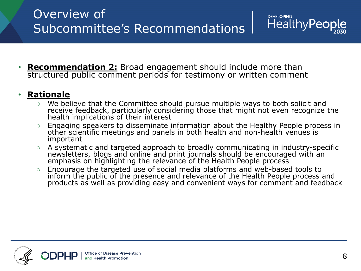**Recommendation 2:** Broad engagement should include more than structured public comment periods for testimony or written comment

#### • **Rationale**

○ We believe that the Committee should pursue multiple ways to both solicit and receive feedback, particularly considering those that might not even recognize the health implications of their interest

**DEVELOPING** 

HealthyPeor

- Engaging speakers to disseminate information about the Healthy People process in other scientific meetings and panels in both health and non-health venues is important
- A systematic and targeted approach to broadly communicating in industry-specific newsletters, blogs and online and print journals should be encouraged with an emphasis on highlighting the relevance of the Health People process
- Encourage the targeted use of social media platforms and web-based tools to inform the public of the presence and relevance of the Health People process and products as well as providing easy and convenient ways for comment and feedback

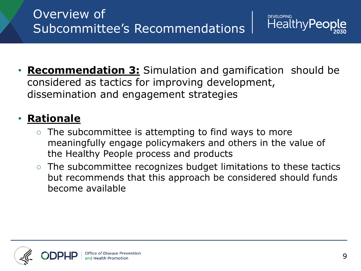

**Recommendation 3:** Simulation and gamification should be considered as tactics for improving development, dissemination and engagement strategies

## • **Rationale**

- The subcommittee is attempting to find ways to more meaningfully engage policymakers and others in the value of the Healthy People process and products
- The subcommittee recognizes budget limitations to these tactics but recommends that this approach be considered should funds become available

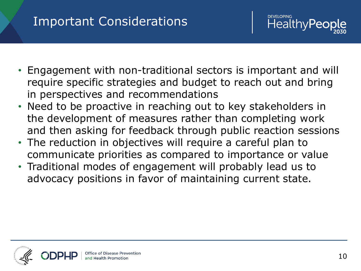## Important Considerations

- Engagement with non-traditional sectors is important and will require specific strategies and budget to reach out and bring in perspectives and recommendations
- Need to be proactive in reaching out to key stakeholders in the development of measures rather than completing work and then asking for feedback through public reaction sessions
- The reduction in objectives will require a careful plan to communicate priorities as compared to importance or value
- Traditional modes of engagement will probably lead us to advocacy positions in favor of maintaining current state.



**DEVELOPING** 

Healthy **Pe**d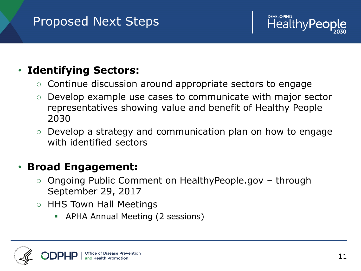# Proposed Next Steps



### • **Identifying Sectors:**

- Continue discussion around appropriate sectors to engage
- Develop example use cases to communicate with major sector representatives showing value and benefit of Healthy People 2030
- Develop a strategy and communication plan on how to engage with identified sectors

#### • **Broad Engagement:**

- Ongoing Public Comment on HealthyPeople.gov through September 29, 2017
- HHS Town Hall Meetings
	- APHA Annual Meeting (2 sessions)

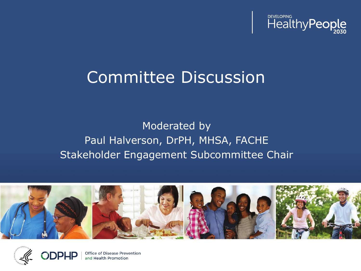

# Committee Discussion

### Moderated by Paul Halverson, DrPH, MHSA, FACHE Stakeholder Engagement Subcommittee Chair





Office of Disease Prevention and Health Promotion